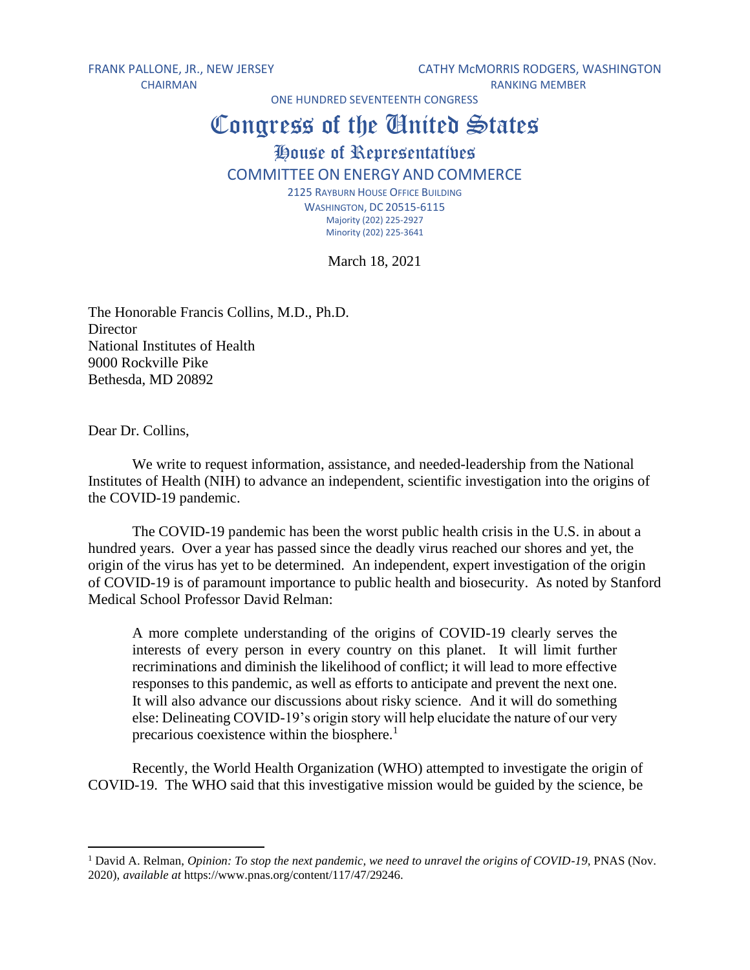FRANK PALLONE, JR., NEW JERSEY CATHY MCMORRIS RODGERS, WASHINGTON CHAIRMAN RANKING MEMBER

ONE HUNDRED SEVENTEENTH CONGRESS

## Congress of the United States

## House of Representatives

## COMMITTEE ON ENERGY AND COMMERCE

2125 RAYBURN HOUSE OFFICE BUILDING WASHINGTON, DC 20515-6115 Majority (202) 225-2927 Minority (202) 225-3641

March 18, 2021

The Honorable Francis Collins, M.D., Ph.D. **Director** National Institutes of Health 9000 Rockville Pike Bethesda, MD 20892

Dear Dr. Collins,

We write to request information, assistance, and needed-leadership from the National Institutes of Health (NIH) to advance an independent, scientific investigation into the origins of the COVID-19 pandemic.

The COVID-19 pandemic has been the worst public health crisis in the U.S. in about a hundred years. Over a year has passed since the deadly virus reached our shores and yet, the origin of the virus has yet to be determined. An independent, expert investigation of the origin of COVID-19 is of paramount importance to public health and biosecurity. As noted by Stanford Medical School Professor David Relman:

A more complete understanding of the origins of COVID-19 clearly serves the interests of every person in every country on this planet. It will limit further recriminations and diminish the likelihood of conflict; it will lead to more effective responses to this pandemic, as well as efforts to anticipate and prevent the next one. It will also advance our discussions about risky science. And it will do something else: Delineating COVID-19's origin story will help elucidate the nature of our very precarious coexistence within the biosphere.<sup>1</sup>

Recently, the World Health Organization (WHO) attempted to investigate the origin of COVID-19. The WHO said that this investigative mission would be guided by the science, be

<sup>1</sup> David A. Relman, *Opinion: To stop the next pandemic, we need to unravel the origins of COVID-19*, PNAS (Nov. 2020), *available at* https://www.pnas.org/content/117/47/29246.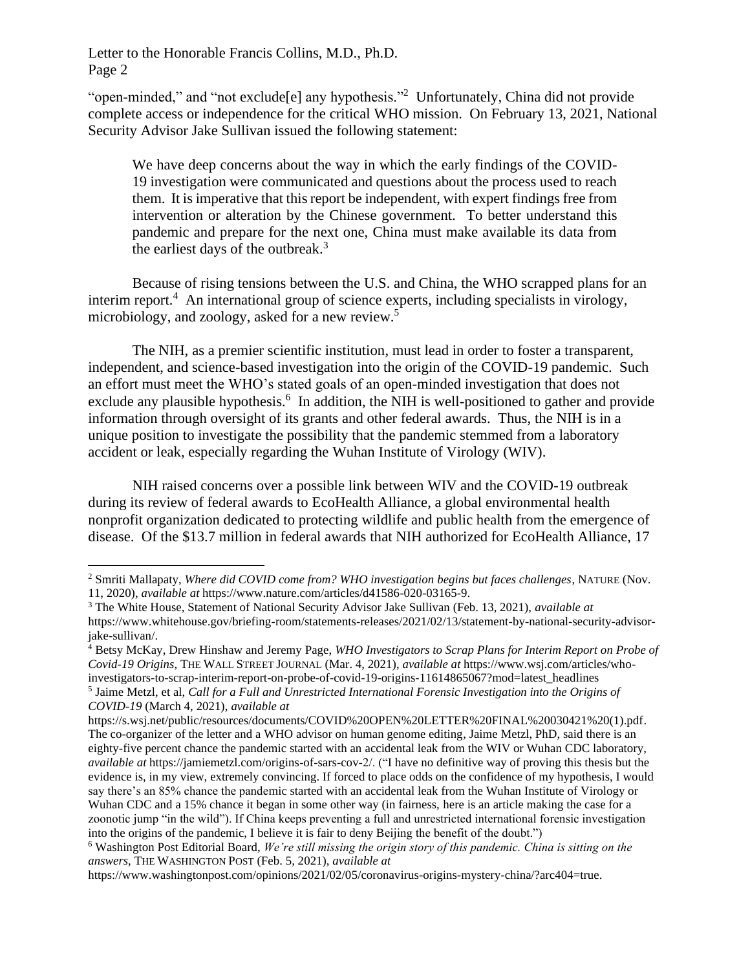"open-minded," and "not exclude[e] any hypothesis."<sup>2</sup> Unfortunately, China did not provide complete access or independence for the critical WHO mission. On February 13, 2021, National Security Advisor Jake Sullivan issued the following statement:

We have deep concerns about the way in which the early findings of the COVID-19 investigation were communicated and questions about the process used to reach them. It is imperative that this report be independent, with expert findings free from intervention or alteration by the Chinese government. To better understand this pandemic and prepare for the next one, China must make available its data from the earliest days of the outbreak. $3$ 

Because of rising tensions between the U.S. and China, the WHO scrapped plans for an interim report.<sup>4</sup> An international group of science experts, including specialists in virology, microbiology, and zoology, asked for a new review.<sup>5</sup>

The NIH, as a premier scientific institution, must lead in order to foster a transparent, independent, and science-based investigation into the origin of the COVID-19 pandemic. Such an effort must meet the WHO's stated goals of an open-minded investigation that does not exclude any plausible hypothesis.<sup>6</sup> In addition, the NIH is well-positioned to gather and provide information through oversight of its grants and other federal awards. Thus, the NIH is in a unique position to investigate the possibility that the pandemic stemmed from a laboratory accident or leak, especially regarding the Wuhan Institute of Virology (WIV).

NIH raised concerns over a possible link between WIV and the COVID-19 outbreak during its review of federal awards to EcoHealth Alliance, a global environmental health nonprofit organization dedicated to protecting wildlife and public health from the emergence of disease. Of the \$13.7 million in federal awards that NIH authorized for EcoHealth Alliance, 17

<sup>2</sup> Smriti Mallapaty, *Where did COVID come from? WHO investigation begins but faces challenges*, NATURE (Nov. 11, 2020), *available at* https://www.nature.com/articles/d41586-020-03165-9.

<sup>3</sup> The White House, Statement of National Security Advisor Jake Sullivan (Feb. 13, 2021), *available at* https://www.whitehouse.gov/briefing-room/statements-releases/2021/02/13/statement-by-national-security-advisorjake-sullivan/.

<sup>4</sup> Betsy McKay, Drew Hinshaw and Jeremy Page, *WHO Investigators to Scrap Plans for Interim Report on Probe of Covid-19 Origins*, THE WALL STREET JOURNAL (Mar. 4, 2021), *available at* https://www.wsj.com/articles/whoinvestigators-to-scrap-interim-report-on-probe-of-covid-19-origins-11614865067?mod=latest\_headlines 5 Jaime Metzl, et al, *Call for a Full and Unrestricted International Forensic Investigation into the Origins of COVID-19* (March 4, 2021), *available at*

https://s.wsj.net/public/resources/documents/COVID%20OPEN%20LETTER%20FINAL%20030421%20(1).pdf. The co-organizer of the letter and a WHO advisor on human genome editing, Jaime Metzl, PhD, said there is an eighty-five percent chance the pandemic started with an accidental leak from the WIV or Wuhan CDC laboratory, *available at* https://jamiemetzl.com/origins-of-sars-cov-2/. ("I have no definitive way of proving this thesis but the evidence is, in my view, extremely convincing. If forced to place odds on the confidence of my hypothesis, I would say there's an 85% chance the pandemic started with an accidental leak from the Wuhan Institute of Virology or Wuhan CDC and a 15% chance it began in some other way (in fairness, [here](https://www.npr.org/sections/goatsandsoda/2020/04/23/841729646/virus-researchers-cast-doubt-on-theory-of-coronavirus-lab-accident) is an article making the case for a zoonotic jump "in the wild"). If China keeps preventing a full and unrestricted international forensic investigation into the origins of the pandemic, I believe it is fair to deny Beijing the benefit of the doubt.")

<sup>6</sup> Washington Post Editorial Board, *We're still missing the origin story of this pandemic. China is sitting on the answers*, THE WASHINGTON POST (Feb. 5, 2021), *available at*

https://www.washingtonpost.com/opinions/2021/02/05/coronavirus-origins-mystery-china/?arc404=true.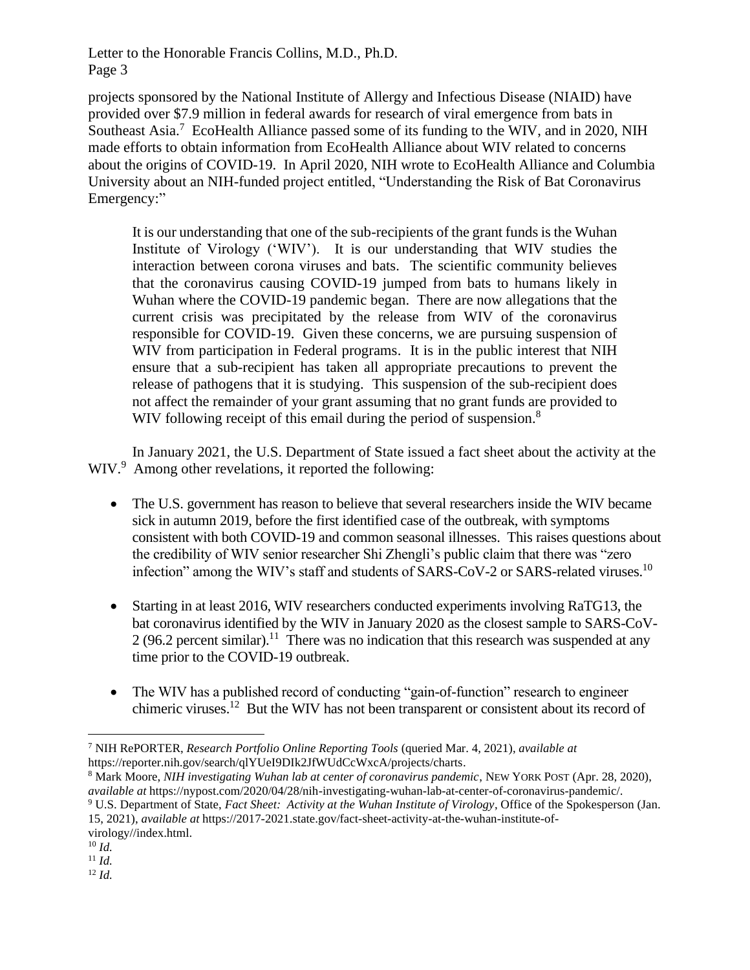projects sponsored by the National Institute of Allergy and Infectious Disease (NIAID) have provided over \$7.9 million in federal awards for research of viral emergence from bats in Southeast Asia.<sup>7</sup> EcoHealth Alliance passed some of its funding to the WIV, and in 2020, NIH made efforts to obtain information from EcoHealth Alliance about WIV related to concerns about the origins of COVID-19. In April 2020, NIH wrote to EcoHealth Alliance and Columbia University about an NIH-funded project entitled, "Understanding the Risk of Bat Coronavirus Emergency:"

It is our understanding that one of the sub-recipients of the grant funds is the Wuhan Institute of Virology ('WIV'). It is our understanding that WIV studies the interaction between corona viruses and bats. The scientific community believes that the coronavirus causing COVID-19 jumped from bats to humans likely in Wuhan where the COVID-19 pandemic began. There are now allegations that the current crisis was precipitated by the release from WIV of the coronavirus responsible for COVID-19. Given these concerns, we are pursuing suspension of WIV from participation in Federal programs. It is in the public interest that NIH ensure that a sub-recipient has taken all appropriate precautions to prevent the release of pathogens that it is studying. This suspension of the sub-recipient does not affect the remainder of your grant assuming that no grant funds are provided to WIV following receipt of this email during the period of suspension.<sup>8</sup>

In January 2021, the U.S. Department of State issued a fact sheet about the activity at the WIV.<sup>9</sup> Among other revelations, it reported the following:

- The U.S. government has reason to believe that several researchers inside the WIV became sick in autumn 2019, before the first identified case of the outbreak, with symptoms consistent with both COVID-19 and common seasonal illnesses. This raises questions about the credibility of WIV senior researcher Shi Zhengli's public claim that there was "zero infection" among the WIV's staff and students of SARS-CoV-2 or SARS-related viruses.<sup>10</sup>
- Starting in at least 2016, WIV researchers conducted experiments involving RaTG13, the bat coronavirus identified by the WIV in January 2020 as the closest sample to SARS-CoV- $2(96.2)$  percent similar).<sup>11</sup> There was no indication that this research was suspended at any time prior to the COVID-19 outbreak.
- The WIV has a published record of conducting "gain-of-function" research to engineer chimeric viruses.<sup>12</sup> But the WIV has not been transparent or consistent about its record of

<sup>8</sup> Mark Moore, *NIH investigating Wuhan lab at center of coronavirus pandemic*, NEW YORK POST (Apr. 28, 2020), *available at* https://nypost.com/2020/04/28/nih-investigating-wuhan-lab-at-center-of-coronavirus-pandemic/.

<sup>7</sup> NIH RePORTER, *Research Portfolio Online Reporting Tools* (queried Mar. 4, 2021), *available at* https://reporter.nih.gov/search/qlYUeI9DIk2JfWUdCcWxcA/projects/charts.

<sup>9</sup> U.S. Department of State, *Fact Sheet: Activity at the Wuhan Institute of Virology*, Office of the Spokesperson (Jan. 15, 2021), *available at* https://2017-2021.state.gov/fact-sheet-activity-at-the-wuhan-institute-ofvirology//index.html.

<sup>10</sup> *Id.*

<sup>11</sup> *Id.*

<sup>12</sup> *Id.*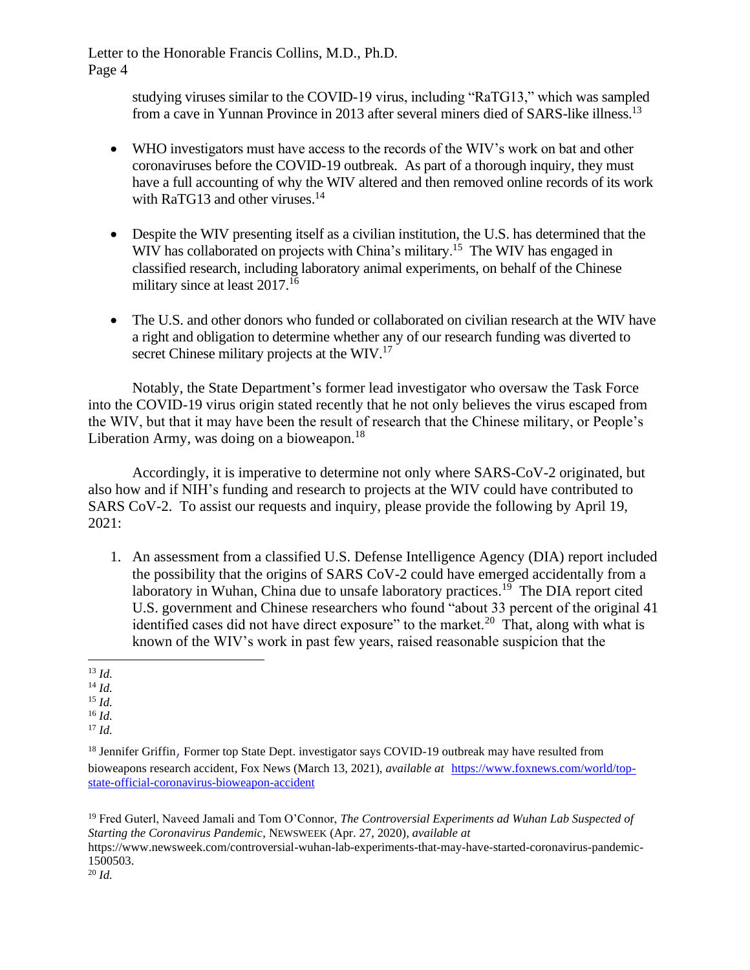> studying viruses similar to the COVID-19 virus, including "RaTG13," which was sampled from a cave in Yunnan Province in 2013 after several miners died of SARS-like illness.<sup>13</sup>

- WHO investigators must have access to the records of the WIV's work on bat and other coronaviruses before the COVID-19 outbreak. As part of a thorough inquiry, they must have a full accounting of why the WIV altered and then removed online records of its work with RaTG13 and other viruses.<sup>14</sup>
- Despite the WIV presenting itself as a civilian institution, the U.S. has determined that the WIV has collaborated on projects with China's military.<sup>15</sup> The WIV has engaged in classified research, including laboratory animal experiments, on behalf of the Chinese military since at least  $2017$ .<sup>16</sup>
- The U.S. and other donors who funded or collaborated on civilian research at the WIV have a right and obligation to determine whether any of our research funding was diverted to secret Chinese military projects at the WIV.<sup>17</sup>

Notably, the State Department's former lead investigator who oversaw the Task Force into the COVID-19 virus origin stated recently that he not only believes the virus escaped from the WIV, but that it may have been the result of research that the Chinese military, or People's Liberation Army, was doing on a bioweapon. $18$ 

Accordingly, it is imperative to determine not only where SARS-CoV-2 originated, but also how and if NIH's funding and research to projects at the WIV could have contributed to SARS CoV-2. To assist our requests and inquiry, please provide the following by April 19, 2021:

1. An assessment from a classified U.S. Defense Intelligence Agency (DIA) report included the possibility that the origins of SARS CoV-2 could have emerged accidentally from a laboratory in Wuhan, China due to unsafe laboratory practices.<sup>19</sup> The DIA report cited U.S. government and Chinese researchers who found "about 33 percent of the original 41 identified cases did not have direct exposure" to the market.<sup>20</sup> That, along with what is known of the WIV's work in past few years, raised reasonable suspicion that the

- <sup>14</sup> *Id.*
- <sup>15</sup> *Id.*
- <sup>16</sup> *Id.*

<sup>19</sup> Fred Guterl, Naveed Jamali and Tom O'Connor, *The Controversial Experiments ad Wuhan Lab Suspected of Starting the Coronavirus Pandemic*, NEWSWEEK (Apr. 27, 2020), *available at* https://www.newsweek.com/controversial-wuhan-lab-experiments-that-may-have-started-coronavirus-pandemic-1500503. <sup>20</sup> *Id.*

<sup>13</sup> *Id.*

<sup>17</sup> *Id.*

<sup>&</sup>lt;sup>18</sup> Jennifer Griffin, Former top State Dept. investigator says COVID-19 outbreak may have resulted from bioweapons research accident, Fox News (March 13, 2021), *available at* [https://www.foxnews.com/world/top](https://www.foxnews.com/world/top-state-official-coronavirus-bioweapon-accident)[state-official-coronavirus-bioweapon-accident](https://www.foxnews.com/world/top-state-official-coronavirus-bioweapon-accident)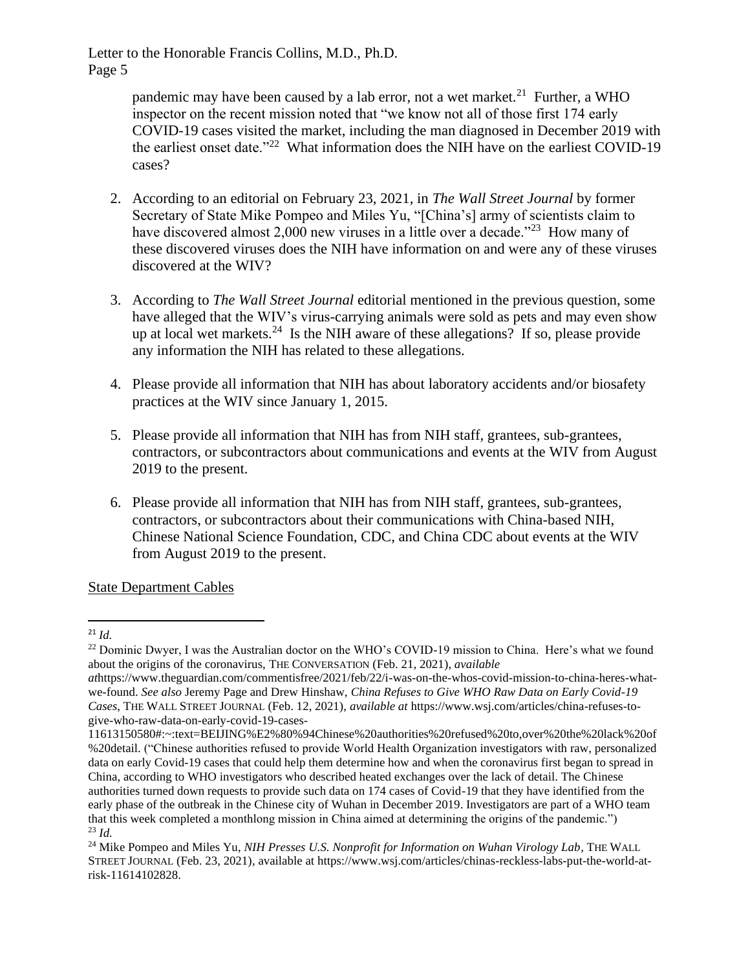> pandemic may have been caused by a lab error, not a wet market.<sup>21</sup> Further, a WHO inspector on the recent mission noted that "we know not all of those first 174 early COVID-19 cases visited the market, including the man diagnosed in December 2019 with the earliest onset date."<sup>22</sup> What information does the NIH have on the earliest COVID-19 cases?

- 2. According to an editorial on February 23, 2021, in *The Wall Street Journal* by former Secretary of State Mike Pompeo and Miles Yu, "[China's] army of scientists claim to have discovered almost 2,000 new viruses in a little over a decade."<sup>23</sup> How many of these discovered viruses does the NIH have information on and were any of these viruses discovered at the WIV?
- 3. According to *The Wall Street Journal* editorial mentioned in the previous question, some have alleged that the WIV's virus-carrying animals were sold as pets and may even show up at local wet markets.<sup>24</sup> Is the NIH aware of these allegations? If so, please provide any information the NIH has related to these allegations.
- 4. Please provide all information that NIH has about laboratory accidents and/or biosafety practices at the WIV since January 1, 2015.
- 5. Please provide all information that NIH has from NIH staff, grantees, sub-grantees, contractors, or subcontractors about communications and events at the WIV from August 2019 to the present.
- 6. Please provide all information that NIH has from NIH staff, grantees, sub-grantees, contractors, or subcontractors about their communications with China-based NIH, Chinese National Science Foundation, CDC, and China CDC about events at the WIV from August 2019 to the present.

State Department Cables

<sup>21</sup> *Id.*

<sup>&</sup>lt;sup>22</sup> Dominic Dwyer, I was the Australian doctor on the WHO's COVID-19 mission to China. Here's what we found about the origins of the coronavirus, THE CONVERSATION (Feb. 21, 2021), *available* 

*at*https://www.theguardian.com/commentisfree/2021/feb/22/i-was-on-the-whos-covid-mission-to-china-heres-whatwe-found. *See also* Jeremy Page and Drew Hinshaw, *China Refuses to Give WHO Raw Data on Early Covid-19 Cases*, THE WALL STREET JOURNAL (Feb. 12, 2021), *available at* https://www.wsj.com/articles/china-refuses-togive-who-raw-data-on-early-covid-19-cases-

<sup>11613150580#:~:</sup>text=BEIJING%E2%80%94Chinese%20authorities%20refused%20to,over%20the%20lack%20of %20detail. ("Chinese authorities refused to provide World Health Organization investigators with raw, personalized data on early Covid-19 cases that could help them determine how and when the coronavirus first began to spread in China, according to WHO investigators who described heated exchanges over the lack of detail. The Chinese authorities turned down requests to provide such data on 174 cases of Covid-19 that they have identified from the early phase of the outbreak in the Chinese city of Wuhan in December 2019. Investigators are part of a WHO team that this week completed a monthlong mission in China aimed at determining the origins of the pandemic.") <sup>23</sup> *Id.*

<sup>&</sup>lt;sup>24</sup> Mike Pompeo and Miles Yu, *NIH Presses U.S. Nonprofit for Information on Wuhan Virology Lab, THE WALL* STREET JOURNAL (Feb. 23, 2021), available at https://www.wsj.com/articles/chinas-reckless-labs-put-the-world-atrisk-11614102828.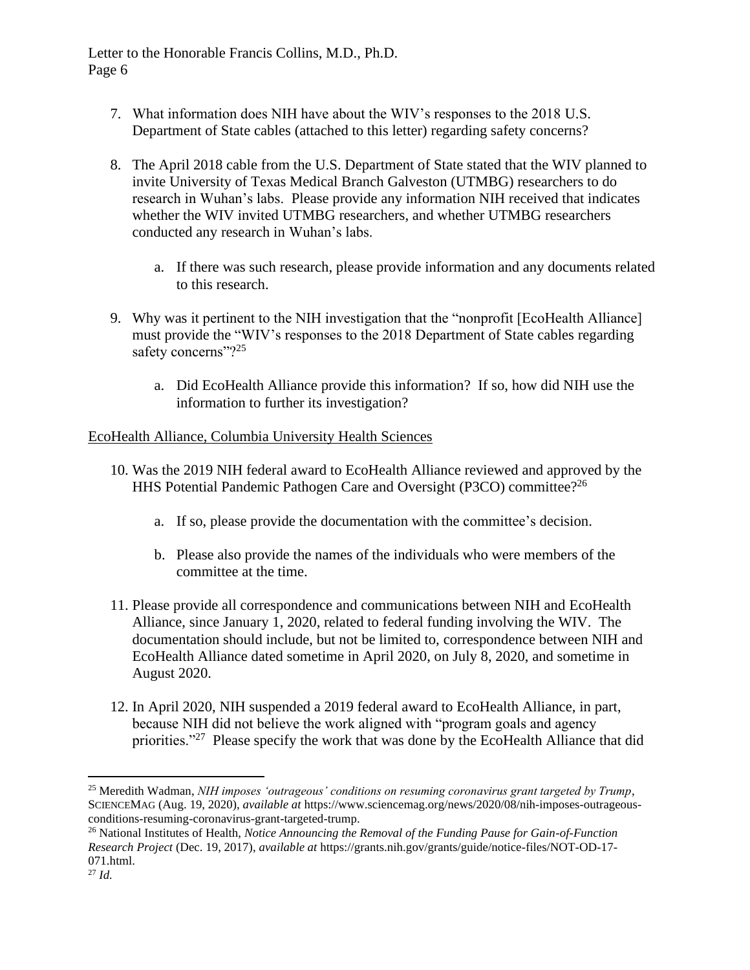- 7. What information does NIH have about the WIV's responses to the 2018 U.S. Department of State cables (attached to this letter) regarding safety concerns?
- 8. The April 2018 cable from the U.S. Department of State stated that the WIV planned to invite University of Texas Medical Branch Galveston (UTMBG) researchers to do research in Wuhan's labs. Please provide any information NIH received that indicates whether the WIV invited UTMBG researchers, and whether UTMBG researchers conducted any research in Wuhan's labs.
	- a. If there was such research, please provide information and any documents related to this research.
- 9. Why was it pertinent to the NIH investigation that the "nonprofit [EcoHealth Alliance] must provide the "WIV's responses to the 2018 Department of State cables regarding safety concerns"?<sup>25</sup>
	- a. Did EcoHealth Alliance provide this information? If so, how did NIH use the information to further its investigation?

## EcoHealth Alliance, Columbia University Health Sciences

- 10. Was the 2019 NIH federal award to EcoHealth Alliance reviewed and approved by the HHS Potential Pandemic Pathogen Care and Oversight (P3CO) committee?<sup>26</sup>
	- a. If so, please provide the documentation with the committee's decision.
	- b. Please also provide the names of the individuals who were members of the committee at the time.
- 11. Please provide all correspondence and communications between NIH and EcoHealth Alliance, since January 1, 2020, related to federal funding involving the WIV. The documentation should include, but not be limited to, correspondence between NIH and EcoHealth Alliance dated sometime in April 2020, on July 8, 2020, and sometime in August 2020.
- 12. In April 2020, NIH suspended a 2019 federal award to EcoHealth Alliance, in part, because NIH did not believe the work aligned with "program goals and agency priorities."<sup>27</sup> Please specify the work that was done by the EcoHealth Alliance that did

<sup>25</sup> Meredith Wadman, *NIH imposes 'outrageous' conditions on resuming coronavirus grant targeted by Trump*, SCIENCEMAG (Aug. 19, 2020), *available at* https://www.sciencemag.org/news/2020/08/nih-imposes-outrageousconditions-resuming-coronavirus-grant-targeted-trump.

<sup>26</sup> National Institutes of Health, *Notice Announcing the Removal of the Funding Pause for Gain-of-Function Research Project* (Dec. 19, 2017), *available at* https://grants.nih.gov/grants/guide/notice-files/NOT-OD-17- 071.html.

<sup>27</sup> *Id.*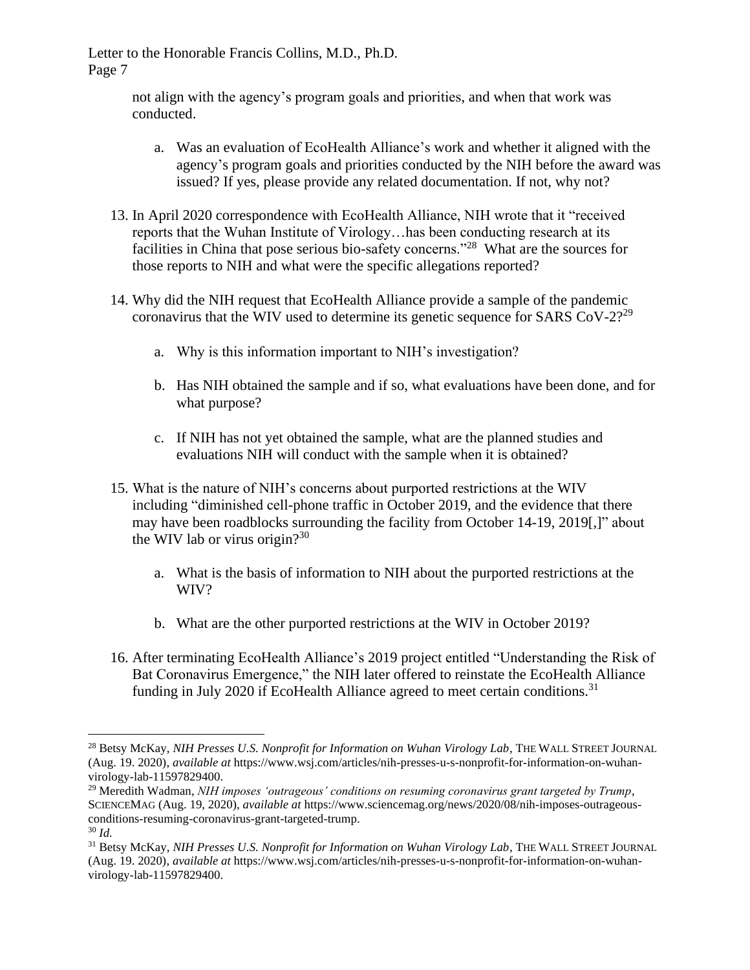> not align with the agency's program goals and priorities, and when that work was conducted.

- a. Was an evaluation of EcoHealth Alliance's work and whether it aligned with the agency's program goals and priorities conducted by the NIH before the award was issued? If yes, please provide any related documentation. If not, why not?
- 13. In April 2020 correspondence with EcoHealth Alliance, NIH wrote that it "received reports that the Wuhan Institute of Virology…has been conducting research at its facilities in China that pose serious bio-safety concerns."<sup>28</sup> What are the sources for those reports to NIH and what were the specific allegations reported?
- 14. Why did the NIH request that EcoHealth Alliance provide a sample of the pandemic coronavirus that the WIV used to determine its genetic sequence for SARS  $CoV-2$ <sup>29</sup>
	- a. Why is this information important to NIH's investigation?
	- b. Has NIH obtained the sample and if so, what evaluations have been done, and for what purpose?
	- c. If NIH has not yet obtained the sample, what are the planned studies and evaluations NIH will conduct with the sample when it is obtained?
- 15. What is the nature of NIH's concerns about purported restrictions at the WIV including "diminished cell-phone traffic in October 2019, and the evidence that there may have been roadblocks surrounding the facility from October 14-19, 2019[,]" about the WIV lab or virus origin? $30<sup>30</sup>$ 
	- a. What is the basis of information to NIH about the purported restrictions at the WIV?
	- b. What are the other purported restrictions at the WIV in October 2019?
- 16. After terminating EcoHealth Alliance's 2019 project entitled "Understanding the Risk of Bat Coronavirus Emergence," the NIH later offered to reinstate the EcoHealth Alliance funding in July 2020 if EcoHealth Alliance agreed to meet certain conditions.<sup>31</sup>

<sup>28</sup> Betsy McKay, *NIH Presses U.S. Nonprofit for Information on Wuhan Virology Lab*, THE WALL STREET JOURNAL (Aug. 19. 2020), *available at* https://www.wsj.com/articles/nih-presses-u-s-nonprofit-for-information-on-wuhanvirology-lab-11597829400.

<sup>29</sup> Meredith Wadman, *NIH imposes 'outrageous' conditions on resuming coronavirus grant targeted by Trump*, SCIENCEMAG (Aug. 19, 2020), *available at* https://www.sciencemag.org/news/2020/08/nih-imposes-outrageousconditions-resuming-coronavirus-grant-targeted-trump. <sup>30</sup> *Id.*

<sup>31</sup> Betsy McKay, *NIH Presses U.S. Nonprofit for Information on Wuhan Virology Lab*, THE WALL STREET JOURNAL (Aug. 19. 2020), *available at* https://www.wsj.com/articles/nih-presses-u-s-nonprofit-for-information-on-wuhanvirology-lab-11597829400.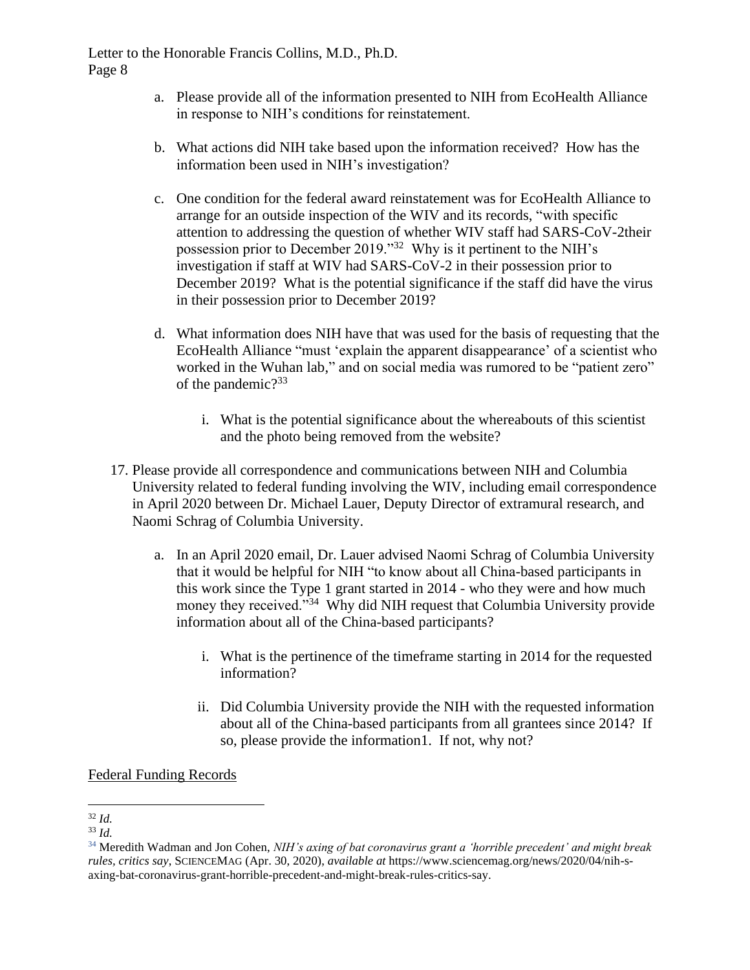- a. Please provide all of the information presented to NIH from EcoHealth Alliance in response to NIH's conditions for reinstatement.
- b. What actions did NIH take based upon the information received? How has the information been used in NIH's investigation?
- c. One condition for the federal award reinstatement was for EcoHealth Alliance to arrange for an outside inspection of the WIV and its records, "with specific attention to addressing the question of whether WIV staff had SARS-CoV-2their possession prior to December 2019."<sup>32</sup> Why is it pertinent to the NIH's investigation if staff at WIV had SARS-CoV-2 in their possession prior to December 2019? What is the potential significance if the staff did have the virus in their possession prior to December 2019?
- d. What information does NIH have that was used for the basis of requesting that the EcoHealth Alliance "must 'explain the apparent disappearance' of a scientist who worked in the Wuhan lab," and on social media was rumored to be "patient zero" of the pandemic?<sup>33</sup>
	- i. What is the potential significance about the whereabouts of this scientist and the photo being removed from the website?
- 17. Please provide all correspondence and communications between NIH and Columbia University related to federal funding involving the WIV, including email correspondence in April 2020 between Dr. Michael Lauer, Deputy Director of extramural research, and Naomi Schrag of Columbia University.
	- a. In an April 2020 email, Dr. Lauer advised Naomi Schrag of Columbia University that it would be helpful for NIH "to know about all China-based participants in this work since the Type 1 grant started in 2014 - who they were and how much money they received."<sup>34</sup> Why did NIH request that Columbia University provide information about all of the China-based participants?
		- i. What is the pertinence of the timeframe starting in 2014 for the requested information?
		- ii. Did Columbia University provide the NIH with the requested information about all of the China-based participants from all grantees since 2014? If so, please provide the information1. If not, why not?

Federal Funding Records

<sup>32</sup> *Id.*

<sup>33</sup> *Id.*

<sup>34</sup> Meredith Wadman and Jon Cohen, *NIH's axing of bat coronavirus grant a 'horrible precedent' and might break rules, critics say*, SCIENCEMAG (Apr. 30, 2020), *available at* https://www.sciencemag.org/news/2020/04/nih-saxing-bat-coronavirus-grant-horrible-precedent-and-might-break-rules-critics-say.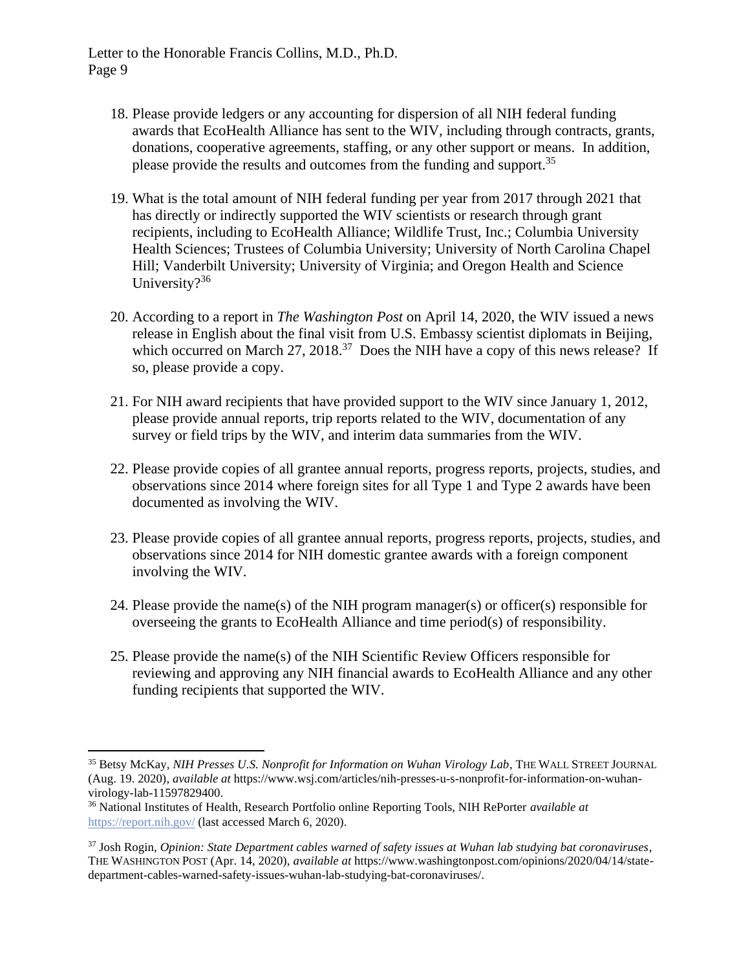- 18. Please provide ledgers or any accounting for dispersion of all NIH federal funding awards that EcoHealth Alliance has sent to the WIV, including through contracts, grants, donations, cooperative agreements, staffing, or any other support or means. In addition, please provide the results and outcomes from the funding and support.<sup>35</sup>
- 19. What is the total amount of NIH federal funding per year from 2017 through 2021 that has directly or indirectly supported the WIV scientists or research through grant recipients, including to EcoHealth Alliance; Wildlife Trust, Inc.; Columbia University Health Sciences; Trustees of Columbia University; University of North Carolina Chapel Hill; Vanderbilt University; University of Virginia; and Oregon Health and Science University?<sup>36</sup>
- 20. According to a report in *The Washington Post* on April 14, 2020, the WIV issued a news release in English about the final visit from U.S. Embassy scientist diplomats in Beijing, which occurred on March  $27$ ,  $2018$ .<sup>37</sup> Does the NIH have a copy of this news release? If so, please provide a copy.
- 21. For NIH award recipients that have provided support to the WIV since January 1, 2012, please provide annual reports, trip reports related to the WIV, documentation of any survey or field trips by the WIV, and interim data summaries from the WIV.
- 22. Please provide copies of all grantee annual reports, progress reports, projects, studies, and observations since 2014 where foreign sites for all Type 1 and Type 2 awards have been documented as involving the WIV.
- 23. Please provide copies of all grantee annual reports, progress reports, projects, studies, and observations since 2014 for NIH domestic grantee awards with a foreign component involving the WIV.
- 24. Please provide the name(s) of the NIH program manager(s) or officer(s) responsible for overseeing the grants to EcoHealth Alliance and time period(s) of responsibility.
- 25. Please provide the name(s) of the NIH Scientific Review Officers responsible for reviewing and approving any NIH financial awards to EcoHealth Alliance and any other funding recipients that supported the WIV.

<sup>35</sup> Betsy McKay, *NIH Presses U.S. Nonprofit for Information on Wuhan Virology Lab*, THE WALL STREET JOURNAL (Aug. 19. 2020), *available at* https://www.wsj.com/articles/nih-presses-u-s-nonprofit-for-information-on-wuhanvirology-lab-11597829400.

<sup>36</sup> National Institutes of Health, Research Portfolio online Reporting Tools, NIH RePorter *available at* <https://report.nih.gov/> (last accessed March 6, 2020).

<sup>37</sup> Josh Rogin, *Opinion: State Department cables warned of safety issues at Wuhan lab studying bat coronaviruses*, THE WASHINGTON POST (Apr. 14, 2020), *available at* https://www.washingtonpost.com/opinions/2020/04/14/statedepartment-cables-warned-safety-issues-wuhan-lab-studying-bat-coronaviruses/.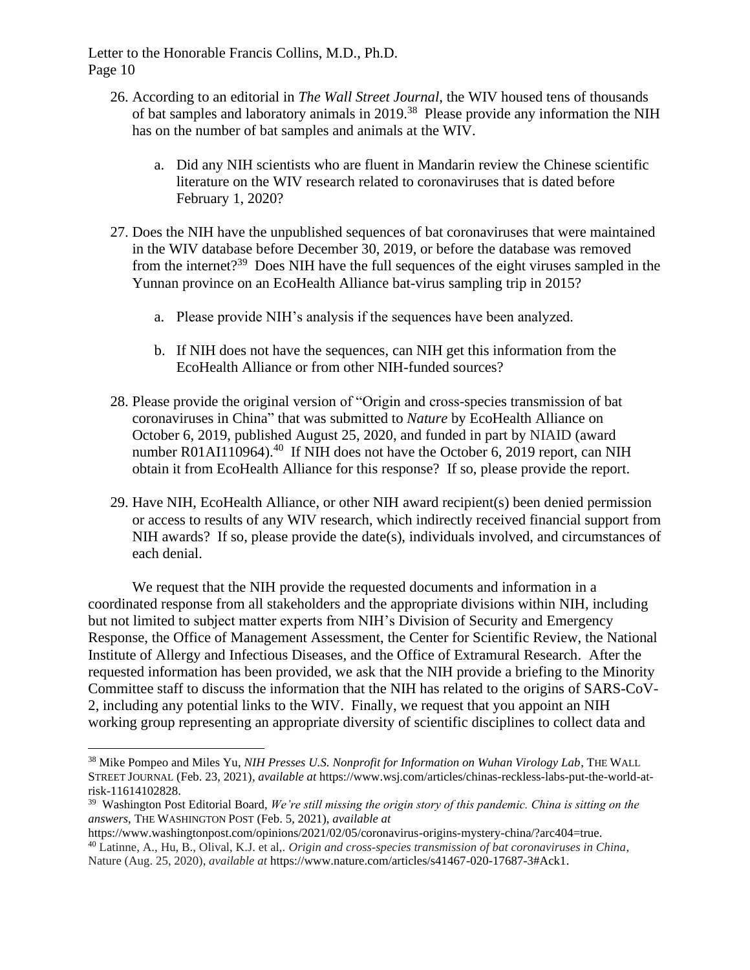- 26. According to an editorial in *The Wall Street Journal*, the WIV housed tens of thousands of bat samples and laboratory animals in 2019.<sup>38</sup> Please provide any information the NIH has on the number of bat samples and animals at the WIV.
	- a. Did any NIH scientists who are fluent in Mandarin review the Chinese scientific literature on the WIV research related to coronaviruses that is dated before February 1, 2020?
- 27. Does the NIH have the unpublished sequences of bat coronaviruses that were maintained in the WIV database before December 30, 2019, or before the database was removed from the internet?<sup>39</sup> Does NIH have the full sequences of the eight viruses sampled in the Yunnan province on an EcoHealth Alliance bat-virus sampling trip in 2015?
	- a. Please provide NIH's analysis if the sequences have been analyzed.
	- b. If NIH does not have the sequences, can NIH get this information from the EcoHealth Alliance or from other NIH-funded sources?
- 28. Please provide the original version of "Origin and cross-species transmission of bat coronaviruses in China" that was submitted to *Nature* by EcoHealth Alliance on October 6, 2019, published August 25, 2020, and funded in part by NIAID (award number R01AI110964).<sup>40</sup> If NIH does not have the October 6, 2019 report, can NIH obtain it from EcoHealth Alliance for this response? If so, please provide the report.
- 29. Have NIH, EcoHealth Alliance, or other NIH award recipient(s) been denied permission or access to results of any WIV research, which indirectly received financial support from NIH awards? If so, please provide the date(s), individuals involved, and circumstances of each denial.

We request that the NIH provide the requested documents and information in a coordinated response from all stakeholders and the appropriate divisions within NIH, including but not limited to subject matter experts from NIH's Division of Security and Emergency Response, the Office of Management Assessment, the Center for Scientific Review, the National Institute of Allergy and Infectious Diseases, and the Office of Extramural Research. After the requested information has been provided, we ask that the NIH provide a briefing to the Minority Committee staff to discuss the information that the NIH has related to the origins of SARS-CoV-2, including any potential links to the WIV. Finally, we request that you appoint an NIH working group representing an appropriate diversity of scientific disciplines to collect data and

<sup>38</sup> Mike Pompeo and Miles Yu, *NIH Presses U.S. Nonprofit for Information on Wuhan Virology Lab*, THE WALL STREET JOURNAL (Feb. 23, 2021), *available at* https://www.wsj.com/articles/chinas-reckless-labs-put-the-world-atrisk-11614102828.

<sup>39</sup> Washington Post Editorial Board, *We're still missing the origin story of this pandemic. China is sitting on the answers*, THE WASHINGTON POST (Feb. 5, 2021), *available at*

https://www.washingtonpost.com/opinions/2021/02/05/coronavirus-origins-mystery-china/?arc404=true. <sup>40</sup> Latinne, A., Hu, B., Olival, K.J. et al,*. Origin and cross-species transmission of bat coronaviruses in China*, Nature (Aug. 25, 2020), *available at* https://www.nature.com/articles/s41467-020-17687-3#Ack1.